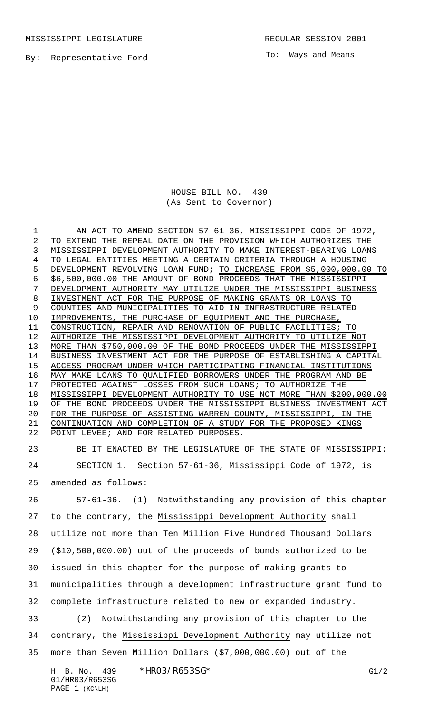MISSISSIPPI LEGISLATURE **REGULAR SESSION 2001** 

By: Representative Ford

To: Ways and Means

HOUSE BILL NO. 439 (As Sent to Governor)

1 AN ACT TO AMEND SECTION 57-61-36, MISSISSIPPI CODE OF 1972, TO EXTEND THE REPEAL DATE ON THE PROVISION WHICH AUTHORIZES THE MISSISSIPPI DEVELOPMENT AUTHORITY TO MAKE INTEREST-BEARING LOANS TO LEGAL ENTITIES MEETING A CERTAIN CRITERIA THROUGH A HOUSING DEVELOPMENT REVOLVING LOAN FUND; TO INCREASE FROM \$5,000,000.00 TO \$6,500,000.00 THE AMOUNT OF BOND PROCEEDS THAT THE MISSISSIPPI DEVELOPMENT AUTHORITY MAY UTILIZE UNDER THE MISSISSIPPI BUSINESS INVESTMENT ACT FOR THE PURPOSE OF MAKING GRANTS OR LOANS TO COUNTIES AND MUNICIPALITIES TO AID IN INFRASTRUCTURE RELATED 10 IMPROVEMENTS, THE PURCHASE OF EQUIPMENT AND THE PURCHASE, CONSTRUCTION, REPAIR AND RENOVATION OF PUBLIC FACILITIES; TO AUTHORIZE THE MISSISSIPPI DEVELOPMENT AUTHORITY TO UTILIZE NOT MORE THAN \$750,000.00 OF THE BOND PROCEEDS UNDER THE MISSISSIPPI BUSINESS INVESTMENT ACT FOR THE PURPOSE OF ESTABLISHING A CAPITAL ACCESS PROGRAM UNDER WHICH PARTICIPATING FINANCIAL INSTITUTIONS MAY MAKE LOANS TO QUALIFIED BORROWERS UNDER THE PROGRAM AND BE 17 PROTECTED AGAINST LOSSES FROM SUCH LOANS; TO AUTHORIZE THE 18 MISSISSIPPI DEVELOPMENT AUTHORITY TO USE NOT MORE THAN \$200,000.00 19 OF THE BOND PROCEEDS UNDER THE MISSISSIPPI BUSINESS INVESTMENT ACT FOR THE PURPOSE OF ASSISTING WARREN COUNTY, MISSISSIPPI, IN THE CONTINUATION AND COMPLETION OF A STUDY FOR THE PROPOSED KINGS 22 POINT LEVEE; AND FOR RELATED PURPOSES.

 BE IT ENACTED BY THE LEGISLATURE OF THE STATE OF MISSISSIPPI: SECTION 1. Section 57-61-36, Mississippi Code of 1972, is amended as follows:

H. B. No. 439 \* HRO3/R653SG\* G1/2 57-61-36. (1) Notwithstanding any provision of this chapter to the contrary, the Mississippi Development Authority shall utilize not more than Ten Million Five Hundred Thousand Dollars (\$10,500,000.00) out of the proceeds of bonds authorized to be issued in this chapter for the purpose of making grants to municipalities through a development infrastructure grant fund to complete infrastructure related to new or expanded industry. (2) Notwithstanding any provision of this chapter to the contrary, the Mississippi Development Authority may utilize not more than Seven Million Dollars (\$7,000,000.00) out of the

01/HR03/R653SG PAGE 1 (KC\LH)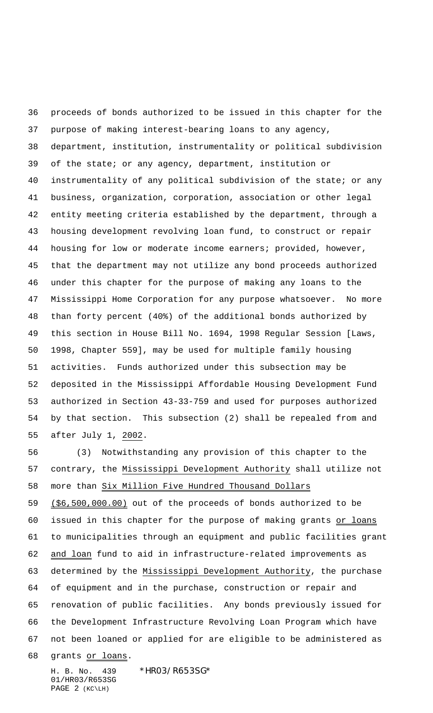proceeds of bonds authorized to be issued in this chapter for the purpose of making interest-bearing loans to any agency, department, institution, instrumentality or political subdivision of the state; or any agency, department, institution or instrumentality of any political subdivision of the state; or any business, organization, corporation, association or other legal entity meeting criteria established by the department, through a housing development revolving loan fund, to construct or repair housing for low or moderate income earners; provided, however, that the department may not utilize any bond proceeds authorized under this chapter for the purpose of making any loans to the Mississippi Home Corporation for any purpose whatsoever. No more than forty percent (40%) of the additional bonds authorized by this section in House Bill No. 1694, 1998 Regular Session [Laws, 1998, Chapter 559], may be used for multiple family housing activities. Funds authorized under this subsection may be deposited in the Mississippi Affordable Housing Development Fund authorized in Section 43-33-759 and used for purposes authorized by that section. This subsection (2) shall be repealed from and after July 1, 2002.

 (3) Notwithstanding any provision of this chapter to the contrary, the Mississippi Development Authority shall utilize not more than Six Million Five Hundred Thousand Dollars

 (\$6,500,000.00) out of the proceeds of bonds authorized to be 60 issued in this chapter for the purpose of making grants or loans to municipalities through an equipment and public facilities grant and loan fund to aid in infrastructure-related improvements as determined by the Mississippi Development Authority, the purchase of equipment and in the purchase, construction or repair and renovation of public facilities. Any bonds previously issued for the Development Infrastructure Revolving Loan Program which have not been loaned or applied for are eligible to be administered as

68 grants or loans.

H. B. No. 439 \*HR03/R653SG\* 01/HR03/R653SG PAGE 2 (KC\LH)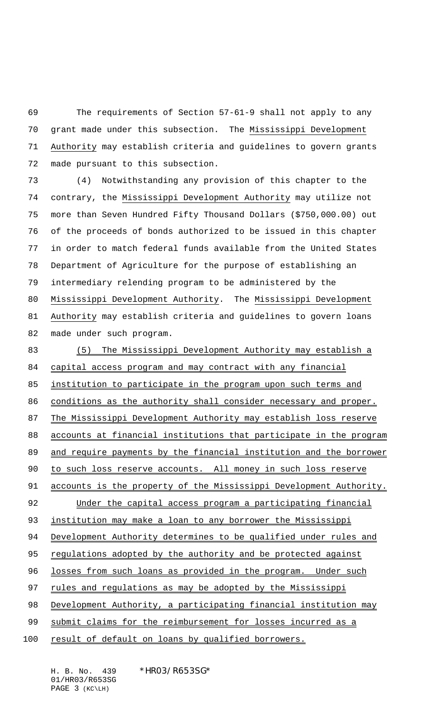The requirements of Section 57-61-9 shall not apply to any grant made under this subsection. The Mississippi Development Authority may establish criteria and guidelines to govern grants made pursuant to this subsection.

 (4) Notwithstanding any provision of this chapter to the contrary, the Mississippi Development Authority may utilize not more than Seven Hundred Fifty Thousand Dollars (\$750,000.00) out of the proceeds of bonds authorized to be issued in this chapter in order to match federal funds available from the United States Department of Agriculture for the purpose of establishing an intermediary relending program to be administered by the Mississippi Development Authority. The Mississippi Development Authority may establish criteria and guidelines to govern loans made under such program.

83 (5) The Mississippi Development Authority may establish a 84 capital access program and may contract with any financial 85 institution to participate in the program upon such terms and 86 conditions as the authority shall consider necessary and proper. 87 The Mississippi Development Authority may establish loss reserve 88 accounts at financial institutions that participate in the program 89 and require payments by the financial institution and the borrower 90 to such loss reserve accounts. All money in such loss reserve 91 accounts is the property of the Mississippi Development Authority. 92 Under the capital access program a participating financial 93 institution may make a loan to any borrower the Mississippi 94 Development Authority determines to be qualified under rules and 95 regulations adopted by the authority and be protected against 96 losses from such loans as provided in the program. Under such 97 rules and regulations as may be adopted by the Mississippi 98 Development Authority, a participating financial institution may 99 submit claims for the reimbursement for losses incurred as a 100 result of default on loans by qualified borrowers.

H. B. No. 439 \*HR03/R653SG\* 01/HR03/R653SG PAGE 3 (KC\LH)